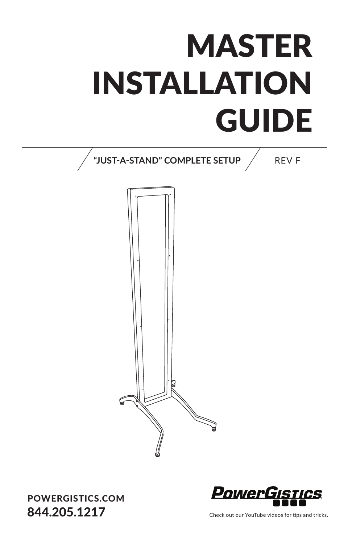## **MASTER** INSTALLATION GUIDE **UUIDE**



## POWERGISTICS.COM 844.205.1217



Check out our YouTube videos for tips and tricks.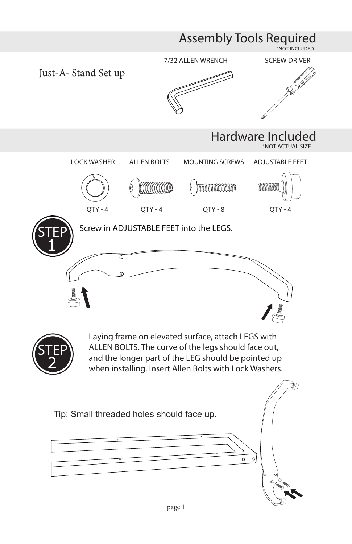